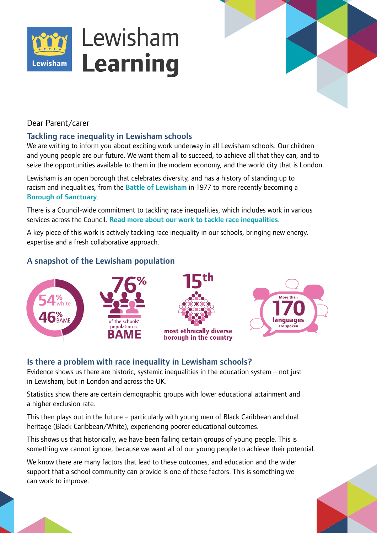



Dear Parent/carer

## Tackling race inequality in Lewisham schools

We are writing to inform you about exciting work underway in all Lewisham schools. Our children and young people are our future. We want them all to succeed, to achieve all that they can, and to seize the opportunities available to them in the modern economy, and the world city that is London.

Lewisham is an open borough that celebrates diversity, and has a history of standing up to racism and inequalities, from the **[Battle of Lewisham](https://www.gold.ac.uk/history/research/battle-of-lewisham/)** in 1977 to more recently becoming a [Borough of Sanctuary](https://lewisham.gov.uk/mayorandcouncil/community-support/refugees/migrants-and-refugees).

There is a Council-wide commitment to tackling race inequalities, which includes work in various services across the Council. [Read more about our work to tackle race inequalities](https://lewisham.gov.uk/mayorandcouncil/aboutthecouncil/equality-and-diversity/our-work-to-tackle-racial-inequalities).

A key piece of this work is actively tackling race inequality in our schools, bringing new energy, expertise and a fresh collaborative approach.

# A snapshot of the Lewisham population



# Is there a problem with race inequality in Lewisham schools?

Evidence shows us there are historic, systemic inequalities in the education system – not just in Lewisham, but in London and across the UK.

Statistics show there are certain demographic groups with lower educational attainment and a higher exclusion rate.

This then plays out in the future – particularly with young men of Black Caribbean and dual heritage (Black Caribbean/White), experiencing poorer educational outcomes.

This shows us that historically, we have been failing certain groups of young people. This is something we cannot janore, because we want all of our young people to achieve their potential.

We know there are many factors that lead to these outcomes, and education and the wider support that a school community can provide is one of these factors. This is something we can work to improve.